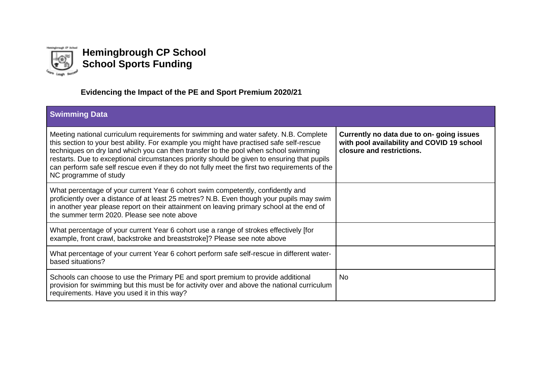

## **Hemingbrough CP School School Sports Funding**

## **Evidencing the Impact of the PE and Sport Premium 2020/21**

| <b>Swimming Data</b>                                                                                                                                                                                                                                                                                                                                                                                                                                                                              |                                                                                                                     |
|---------------------------------------------------------------------------------------------------------------------------------------------------------------------------------------------------------------------------------------------------------------------------------------------------------------------------------------------------------------------------------------------------------------------------------------------------------------------------------------------------|---------------------------------------------------------------------------------------------------------------------|
| Meeting national curriculum requirements for swimming and water safety. N.B. Complete<br>this section to your best ability. For example you might have practised safe self-rescue<br>techniques on dry land which you can then transfer to the pool when school swimming<br>restarts. Due to exceptional circumstances priority should be given to ensuring that pupils<br>can perform safe self rescue even if they do not fully meet the first two requirements of the<br>NC programme of study | Currently no data due to on-going issues<br>with pool availability and COVID 19 school<br>closure and restrictions. |
| What percentage of your current Year 6 cohort swim competently, confidently and<br>proficiently over a distance of at least 25 metres? N.B. Even though your pupils may swim<br>in another year please report on their attainment on leaving primary school at the end of<br>the summer term 2020. Please see note above                                                                                                                                                                          |                                                                                                                     |
| What percentage of your current Year 6 cohort use a range of strokes effectively [for<br>example, front crawl, backstroke and breaststroke]? Please see note above                                                                                                                                                                                                                                                                                                                                |                                                                                                                     |
| What percentage of your current Year 6 cohort perform safe self-rescue in different water-<br>based situations?                                                                                                                                                                                                                                                                                                                                                                                   |                                                                                                                     |
| Schools can choose to use the Primary PE and sport premium to provide additional<br>provision for swimming but this must be for activity over and above the national curriculum<br>requirements. Have you used it in this way?                                                                                                                                                                                                                                                                    | No.                                                                                                                 |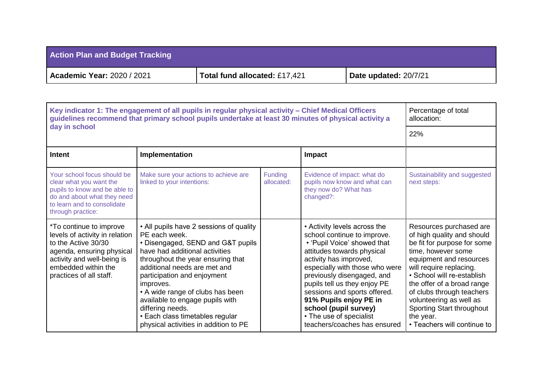| <b>Action Plan and Budget Tracking</b> |                               |                       |
|----------------------------------------|-------------------------------|-----------------------|
| <b>Academic Year: 2020 / 2021</b>      | Total fund allocated: £17,421 | Date updated: 20/7/21 |

| Key indicator 1: The engagement of all pupils in regular physical activity - Chief Medical Officers<br>guidelines recommend that primary school pupils undertake at least 30 minutes of physical activity a | Percentage of total<br>allocation:                                                                                                                                                                                                                                                                                                                                                                                      |                       |                                                                                                                                                                                                                                                                                                                                                                                                  |                                                                                                                                                                                                                                                                                                                                                               |
|-------------------------------------------------------------------------------------------------------------------------------------------------------------------------------------------------------------|-------------------------------------------------------------------------------------------------------------------------------------------------------------------------------------------------------------------------------------------------------------------------------------------------------------------------------------------------------------------------------------------------------------------------|-----------------------|--------------------------------------------------------------------------------------------------------------------------------------------------------------------------------------------------------------------------------------------------------------------------------------------------------------------------------------------------------------------------------------------------|---------------------------------------------------------------------------------------------------------------------------------------------------------------------------------------------------------------------------------------------------------------------------------------------------------------------------------------------------------------|
| day in school                                                                                                                                                                                               | 22%                                                                                                                                                                                                                                                                                                                                                                                                                     |                       |                                                                                                                                                                                                                                                                                                                                                                                                  |                                                                                                                                                                                                                                                                                                                                                               |
| <b>Intent</b>                                                                                                                                                                                               | Implementation                                                                                                                                                                                                                                                                                                                                                                                                          |                       | <b>Impact</b>                                                                                                                                                                                                                                                                                                                                                                                    |                                                                                                                                                                                                                                                                                                                                                               |
| Your school focus should be<br>clear what you want the<br>pupils to know and be able to<br>do and about what they need<br>to learn and to consolidate<br>through practice:                                  | Make sure your actions to achieve are<br>linked to your intentions:                                                                                                                                                                                                                                                                                                                                                     | Funding<br>allocated: | Evidence of impact: what do<br>pupils now know and what can<br>they now do? What has<br>changed?:                                                                                                                                                                                                                                                                                                | Sustainability and suggested<br>next steps:                                                                                                                                                                                                                                                                                                                   |
| <i>*To continue to improve</i><br>levels of activity in relation<br>to the Active 30/30<br>agenda, ensuring physical<br>activity and well-being is<br>embedded within the<br>practices of all staff.        | • All pupils have 2 sessions of quality<br>PE each week.<br>• Disengaged, SEND and G&T pupils<br>have had additional activities<br>throughout the year ensuring that<br>additional needs are met and<br>participation and enjoyment<br>improves.<br>• A wide range of clubs has been<br>available to engage pupils with<br>differing needs.<br>• Each class timetables regular<br>physical activities in addition to PE |                       | • Activity levels across the<br>school continue to improve.<br>• 'Pupil Voice' showed that<br>attitudes towards physical<br>activity has improved,<br>especially with those who were<br>previously disengaged, and<br>pupils tell us they enjoy PE<br>sessions and sports offered.<br>91% Pupils enjoy PE in<br>school (pupil survey)<br>• The use of specialist<br>teachers/coaches has ensured | Resources purchased are<br>of high quality and should<br>be fit for purpose for some<br>time, however some<br>equipment and resources<br>will require replacing.<br>· School will re-establish<br>the offer of a broad range<br>of clubs through teachers<br>volunteering as well as<br>Sporting Start throughout<br>the year.<br>• Teachers will continue to |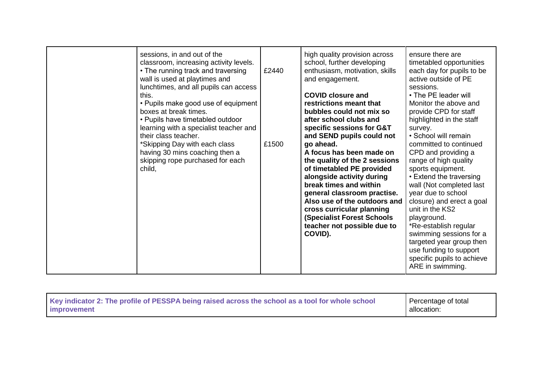| sessions, in and out of the<br>classroom, increasing activity levels.<br>• The running track and traversing<br>wall is used at playtimes and<br>lunchtimes, and all pupils can access<br>this.<br>• Pupils make good use of equipment        | £2440 | high quality provision across<br>school, further developing<br>enthusiasm, motivation, skills<br>and engagement.<br><b>COVID closure and</b><br>restrictions meant that                                                                                                                                                                                                                                                                                | ensure there are<br>timetabled opportunities<br>each day for pupils to be<br>active outside of PE<br>sessions.<br>• The PE leader will<br>Monitor the above and                                                                                                                                                                                                                                                                                                                             |
|----------------------------------------------------------------------------------------------------------------------------------------------------------------------------------------------------------------------------------------------|-------|--------------------------------------------------------------------------------------------------------------------------------------------------------------------------------------------------------------------------------------------------------------------------------------------------------------------------------------------------------------------------------------------------------------------------------------------------------|---------------------------------------------------------------------------------------------------------------------------------------------------------------------------------------------------------------------------------------------------------------------------------------------------------------------------------------------------------------------------------------------------------------------------------------------------------------------------------------------|
| boxes at break times.<br>• Pupils have timetabled outdoor<br>learning with a specialist teacher and<br>their class teacher.<br>*Skipping Day with each class<br>having 30 mins coaching then a<br>skipping rope purchased for each<br>child, | £1500 | bubbles could not mix so<br>after school clubs and<br>specific sessions for G&T<br>and SEND pupils could not<br>go ahead.<br>A focus has been made on<br>the quality of the 2 sessions<br>of timetabled PE provided<br>alongside activity during<br>break times and within<br>general classroom practise.<br>Also use of the outdoors and<br>cross curricular planning<br><b>(Specialist Forest Schools)</b><br>teacher not possible due to<br>COVID). | provide CPD for staff<br>highlighted in the staff<br>survey.<br>• School will remain<br>committed to continued<br>CPD and providing a<br>range of high quality<br>sports equipment.<br>• Extend the traversing<br>wall (Not completed last<br>year due to school<br>closure) and erect a goal<br>unit in the KS2<br>playground.<br>*Re-establish regular<br>swimming sessions for a<br>targeted year group then<br>use funding to support<br>specific pupils to achieve<br>ARE in swimming. |

|  | Key indicator 2: The profile of PESSPA being raised across the school as a tool for whole school<br>improvement | Percentage of total<br>allocation: |
|--|-----------------------------------------------------------------------------------------------------------------|------------------------------------|
|--|-----------------------------------------------------------------------------------------------------------------|------------------------------------|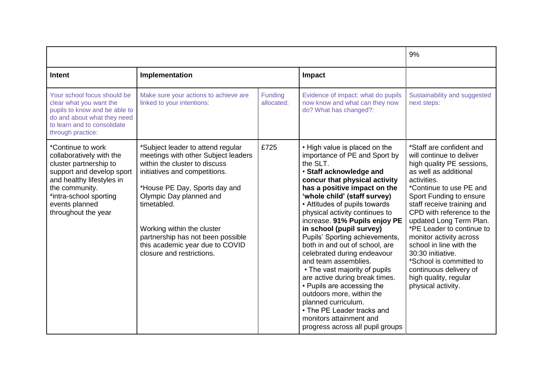|                                                                                                                                                                                                                        | 9%                                                                                                                                                                                                                                                                                                                                                       |                       |                                                                                                                                                                                                                                                                                                                                                                                                                                                                                                                                                                                                                                                                                                                     |                                                                                                                                                                                                                                                                                                                                                                                                                                                                                   |
|------------------------------------------------------------------------------------------------------------------------------------------------------------------------------------------------------------------------|----------------------------------------------------------------------------------------------------------------------------------------------------------------------------------------------------------------------------------------------------------------------------------------------------------------------------------------------------------|-----------------------|---------------------------------------------------------------------------------------------------------------------------------------------------------------------------------------------------------------------------------------------------------------------------------------------------------------------------------------------------------------------------------------------------------------------------------------------------------------------------------------------------------------------------------------------------------------------------------------------------------------------------------------------------------------------------------------------------------------------|-----------------------------------------------------------------------------------------------------------------------------------------------------------------------------------------------------------------------------------------------------------------------------------------------------------------------------------------------------------------------------------------------------------------------------------------------------------------------------------|
| <b>Intent</b>                                                                                                                                                                                                          | Implementation                                                                                                                                                                                                                                                                                                                                           |                       | Impact                                                                                                                                                                                                                                                                                                                                                                                                                                                                                                                                                                                                                                                                                                              |                                                                                                                                                                                                                                                                                                                                                                                                                                                                                   |
| Your school focus should be<br>clear what you want the<br>pupils to know and be able to<br>do and about what they need<br>to learn and to consolidate<br>through practice:                                             | Make sure your actions to achieve are<br>linked to your intentions:                                                                                                                                                                                                                                                                                      | Funding<br>allocated: | Evidence of impact: what do pupils<br>now know and what can they now<br>do? What has changed?:                                                                                                                                                                                                                                                                                                                                                                                                                                                                                                                                                                                                                      | Sustainability and suggested<br>next steps:                                                                                                                                                                                                                                                                                                                                                                                                                                       |
| *Continue to work<br>collaboratively with the<br>cluster partnership to<br>support and develop sport<br>and healthy lifestyles in<br>the community.<br>*intra-school sporting<br>events planned<br>throughout the year | *Subject leader to attend regular<br>meetings with other Subject leaders<br>within the cluster to discuss<br>initiatives and competitions.<br>*House PE Day, Sports day and<br>Olympic Day planned and<br>timetabled.<br>Working within the cluster<br>partnership has not been possible<br>this academic year due to COVID<br>closure and restrictions. | £725                  | • High value is placed on the<br>importance of PE and Sport by<br>the SLT.<br>· Staff acknowledge and<br>concur that physical activity<br>has a positive impact on the<br>'whole child' (staff survey)<br>• Attitudes of pupils towards<br>physical activity continues to<br>increase. 91% Pupils enjoy PE<br>in school (pupil survey)<br>Pupils' Sporting achievements,<br>both in and out of school, are<br>celebrated during endeavour<br>and team assemblies.<br>• The vast majority of pupils<br>are active during break times.<br>• Pupils are accessing the<br>outdoors more, within the<br>planned curriculum.<br>• The PE Leader tracks and<br>monitors attainment and<br>progress across all pupil groups | *Staff are confident and<br>will continue to deliver<br>high quality PE sessions,<br>as well as additional<br>activities.<br>*Continue to use PE and<br>Sport Funding to ensure<br>staff receive training and<br>CPD with reference to the<br>updated Long Term Plan.<br>*PE Leader to continue to<br>monitor activity across<br>school in line with the<br>30:30 initiative.<br>*School is committed to<br>continuous delivery of<br>high quality, regular<br>physical activity. |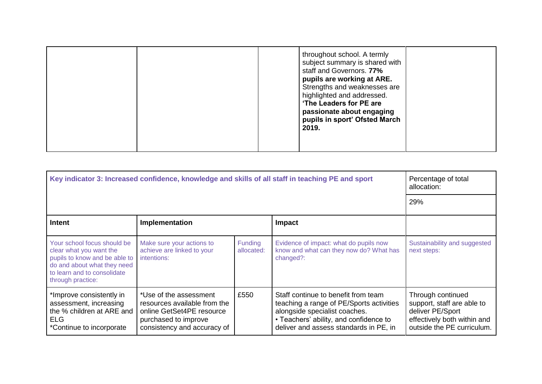|  | throughout school. A termly<br>subject summary is shared with<br>staff and Governors. 77%<br>pupils are working at ARE.<br>Strengths and weaknesses are<br>highlighted and addressed.<br>'The Leaders for PE are<br>passionate about engaging<br>pupils in sport' Ofsted March<br>2019. |
|--|-----------------------------------------------------------------------------------------------------------------------------------------------------------------------------------------------------------------------------------------------------------------------------------------|
|--|-----------------------------------------------------------------------------------------------------------------------------------------------------------------------------------------------------------------------------------------------------------------------------------------|

| Key indicator 3: Increased confidence, knowledge and skills of all staff in teaching PE and sport                                                                          |                                                                                                                                            |                              |                                                                                                                                                                                                      | Percentage of total<br>allocation:                                                                                               |  |
|----------------------------------------------------------------------------------------------------------------------------------------------------------------------------|--------------------------------------------------------------------------------------------------------------------------------------------|------------------------------|------------------------------------------------------------------------------------------------------------------------------------------------------------------------------------------------------|----------------------------------------------------------------------------------------------------------------------------------|--|
|                                                                                                                                                                            |                                                                                                                                            |                              |                                                                                                                                                                                                      |                                                                                                                                  |  |
| <b>Intent</b>                                                                                                                                                              | Implementation                                                                                                                             |                              | Impact                                                                                                                                                                                               |                                                                                                                                  |  |
| Your school focus should be<br>clear what you want the<br>pupils to know and be able to<br>do and about what they need<br>to learn and to consolidate<br>through practice: | Make sure your actions to<br>achieve are linked to your<br>intentions:                                                                     | <b>Funding</b><br>allocated: | Evidence of impact: what do pupils now<br>know and what can they now do? What has<br>changed?:                                                                                                       | Sustainability and suggested<br>next steps:                                                                                      |  |
| *Improve consistently in<br>assessment, increasing<br>the % children at ARE and<br><b>ELG</b><br>*Continue to incorporate                                                  | *Use of the assessment<br>resources available from the<br>online GetSet4PE resource<br>purchased to improve<br>consistency and accuracy of | £550                         | Staff continue to benefit from team<br>teaching a range of PE/Sports activities<br>alongside specialist coaches.<br>• Teachers' ability, and confidence to<br>deliver and assess standards in PE, in | Through continued<br>support, staff are able to<br>deliver PE/Sport<br>effectively both within and<br>outside the PE curriculum. |  |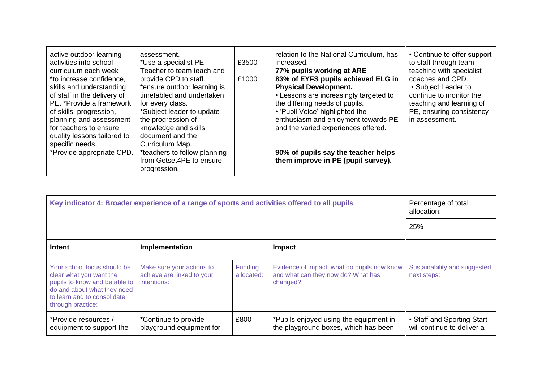| active outdoor learning<br>activities into school<br>curriculum each week<br>*to increase confidence,<br>skills and understanding<br>of staff in the delivery of<br>PE. *Provide a framework<br>of skills, progression,<br>planning and assessment<br>for teachers to ensure<br>quality lessons tailored to<br>specific needs.<br>*Provide appropriate CPD. | assessment.<br>*Use a specialist PE<br>Teacher to team teach and<br>provide CPD to staff.<br>*ensure outdoor learning is<br>timetabled and undertaken<br>for every class.<br>*Subject leader to update<br>the progression of<br>knowledge and skills<br>document and the<br>Curriculum Map.<br>*teachers to follow planning | £3500<br>£1000 | relation to the National Curriculum, has<br>increased.<br>77% pupils working at ARE<br>83% of EYFS pupils achieved ELG in<br><b>Physical Development.</b><br>• Lessons are increasingly targeted to<br>the differing needs of pupils.<br>• 'Pupil Voice' highlighted the<br>enthusiasm and enjoyment towards PE<br>and the varied experiences offered.<br>90% of pupils say the teacher helps | • Continue to offer support<br>to staff through team<br>teaching with specialist<br>coaches and CPD.<br>• Subject Leader to<br>continue to monitor the<br>teaching and learning of<br>PE, ensuring consistency<br>in assessment. |
|-------------------------------------------------------------------------------------------------------------------------------------------------------------------------------------------------------------------------------------------------------------------------------------------------------------------------------------------------------------|-----------------------------------------------------------------------------------------------------------------------------------------------------------------------------------------------------------------------------------------------------------------------------------------------------------------------------|----------------|-----------------------------------------------------------------------------------------------------------------------------------------------------------------------------------------------------------------------------------------------------------------------------------------------------------------------------------------------------------------------------------------------|----------------------------------------------------------------------------------------------------------------------------------------------------------------------------------------------------------------------------------|
|                                                                                                                                                                                                                                                                                                                                                             | from Getset4PE to ensure<br>progression.                                                                                                                                                                                                                                                                                    |                | them improve in PE (pupil survey).                                                                                                                                                                                                                                                                                                                                                            |                                                                                                                                                                                                                                  |

| Key indicator 4: Broader experience of a range of sports and activities offered to all pupils                                                                              |                                                                        |                              |                                                                                                | Percentage of total<br>allocation:                       |
|----------------------------------------------------------------------------------------------------------------------------------------------------------------------------|------------------------------------------------------------------------|------------------------------|------------------------------------------------------------------------------------------------|----------------------------------------------------------|
|                                                                                                                                                                            | 25%                                                                    |                              |                                                                                                |                                                          |
| Intent                                                                                                                                                                     | Implementation<br>Impact                                               |                              |                                                                                                |                                                          |
| Your school focus should be<br>clear what you want the<br>pupils to know and be able to<br>do and about what they need<br>to learn and to consolidate<br>through practice: | Make sure your actions to<br>achieve are linked to your<br>intentions: | <b>Funding</b><br>allocated: | Evidence of impact: what do pupils now know<br>and what can they now do? What has<br>changed?: | Sustainability and suggested<br>next steps:              |
| *Provide resources /<br>equipment to support the                                                                                                                           | *Continue to provide<br>playground equipment for                       | £800                         | *Pupils enjoyed using the equipment in<br>the playground boxes, which has been                 | • Staff and Sporting Start<br>will continue to deliver a |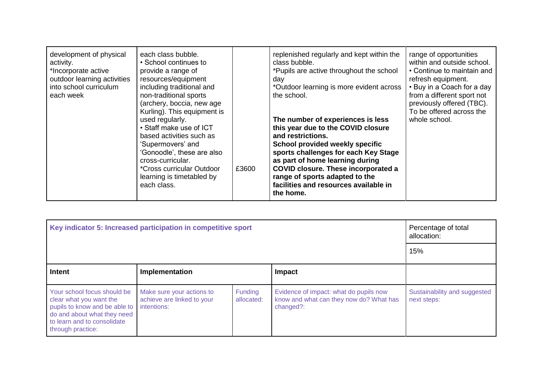| development of physical<br>activity.<br>*Incorporate active<br>outdoor learning activities<br>into school curriculum<br>each week | each class bubble.<br>• School continues to<br>provide a range of<br>resources/equipment<br>including traditional and<br>non-traditional sports<br>(archery, boccia, new age<br>Kurling). This equipment is<br>used regularly.<br>• Staff make use of ICT<br>based activities such as<br>'Supermovers' and<br>'Gonoodle', these are also<br>cross-curricular.<br><i>*Cross curricular Outdoor</i><br>learning is timetabled by<br>each class. | £3600 | replenished regularly and kept within the<br>class bubble.<br>*Pupils are active throughout the school<br>day<br>*Outdoor learning is more evident across<br>the school.<br>The number of experiences is less<br>this year due to the COVID closure<br>and restrictions.<br>School provided weekly specific<br>sports challenges for each Key Stage<br>as part of home learning during<br><b>COVID closure. These incorporated a</b><br>range of sports adapted to the<br>facilities and resources available in | range of opportunities<br>within and outside school.<br>• Continue to maintain and<br>refresh equipment.<br>• Buy in a Coach for a day<br>from a different sport not<br>previously offered (TBC).<br>To be offered across the<br>whole school. |
|-----------------------------------------------------------------------------------------------------------------------------------|-----------------------------------------------------------------------------------------------------------------------------------------------------------------------------------------------------------------------------------------------------------------------------------------------------------------------------------------------------------------------------------------------------------------------------------------------|-------|-----------------------------------------------------------------------------------------------------------------------------------------------------------------------------------------------------------------------------------------------------------------------------------------------------------------------------------------------------------------------------------------------------------------------------------------------------------------------------------------------------------------|------------------------------------------------------------------------------------------------------------------------------------------------------------------------------------------------------------------------------------------------|
|                                                                                                                                   |                                                                                                                                                                                                                                                                                                                                                                                                                                               |       | the home.                                                                                                                                                                                                                                                                                                                                                                                                                                                                                                       |                                                                                                                                                                                                                                                |

| Key indicator 5: Increased participation in competitive sport                                                                                                              |                                                                        |                       |                                                                                                | Percentage of total<br>allocation:          |
|----------------------------------------------------------------------------------------------------------------------------------------------------------------------------|------------------------------------------------------------------------|-----------------------|------------------------------------------------------------------------------------------------|---------------------------------------------|
|                                                                                                                                                                            | 15%                                                                    |                       |                                                                                                |                                             |
| <b>Intent</b>                                                                                                                                                              | Implementation<br><b>Impact</b>                                        |                       |                                                                                                |                                             |
| Your school focus should be<br>clear what you want the<br>pupils to know and be able to<br>do and about what they need<br>to learn and to consolidate<br>through practice: | Make sure your actions to<br>achieve are linked to your<br>intentions: | Funding<br>allocated: | Evidence of impact: what do pupils now<br>know and what can they now do? What has<br>changed?: | Sustainability and suggested<br>next steps: |